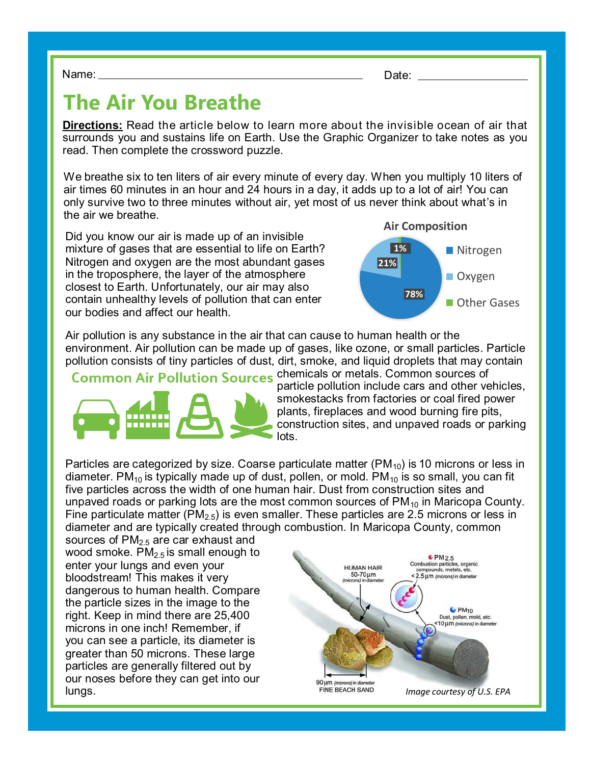Name: Date:

## **The Air You Breathe**

**Directions:** Read the article below to learn more about the invisible ocean of air that surrounds you and sustains life on Earth. Use the Graphic Organizer to take notes as you read. Then complete the crossword puzzle.

We breathe six to ten liters of air every minute of every day. When you multiply 10 liters of air times 60 minutes in an hour and 24 hours in a day, it adds up to a lot of air! You can only survive two to three minutes without air, yet most of us never think about what's in the air we breathe.

Did you know our air is made up of an invisible mixture of gases that are essential to life on Earth? Nitrogen and oxygen are the most abundant gases in the troposphere, the layer of the atmosphere closest to Earth. Unfortunately, our air may also contain unhealthy levels of pollution that can enter our bodies and affect our health.



Air pollution is any substance in the air that can cause to human health or the environment. Air pollution can be made up of gases, like ozone, or small particles. Particle pollution consists of tiny particles of dust, dirt, smoke, and liquid droplets that may contain

Common Air Pollution Sources chemicals or metals. Common sources of



particle pollution include cars and other vehicles, smokestacks from factories or coal fired power plants, fireplaces and wood burning fire pits, construction sites, and unpaved roads or parking lots.

Particles are categorized by size. Coarse particulate matter  $(PM_{10})$  is 10 microns or less in diameter. PM<sub>10</sub> is typically made up of dust, pollen, or mold. PM<sub>10</sub> is so small, you can fit five particles across the width of one human hair. Dust from construction sites and unpaved roads or parking lots are the most common sources of  $PM_{10}$  in Maricopa County. Fine particulate matter (PM<sub>2.5</sub>) is even smaller. These particles are 2.5 microns or less in diameter and are typically created through combustion. In Maricopa County, common

sources of  $PM<sub>2.5</sub>$  are car exhaust and wood smoke.  $PM<sub>2.5</sub>$  is small enough to enter your lungs and even your bloodstream! This makes it very dangerous to human health. Compare the particle sizes in the image to the right. Keep in mind there are 25,400 microns in one inch! Remember, if you can see a particle, its diameter is greater than 50 microns. These large particles are generally filtered out by our noses before they can get into our